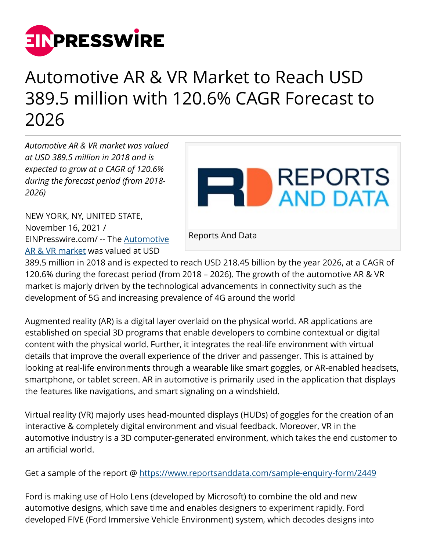

## Automotive AR & VR Market to Reach USD 389.5 million with 120.6% CAGR Forecast to 2026

*Automotive AR & VR market was valued at USD 389.5 million in 2018 and is expected to grow at a CAGR of 120.6% during the forecast period (from 2018- 2026)*

NEW YORK, NY, UNITED STATE, November 16, 2021 / [EINPresswire.com](http://www.einpresswire.com)/ -- The [Automotive](https://www.reportsanddata.com/report-detail/automotive-ar-and-vr-market) [AR & VR market](https://www.reportsanddata.com/report-detail/automotive-ar-and-vr-market) was valued at USD



389.5 million in 2018 and is expected to reach USD 218.45 billion by the year 2026, at a CAGR of 120.6% during the forecast period (from 2018 – 2026). The growth of the automotive AR & VR market is majorly driven by the technological advancements in connectivity such as the development of 5G and increasing prevalence of 4G around the world

Augmented reality (AR) is a digital layer overlaid on the physical world. AR applications are established on special 3D programs that enable developers to combine contextual or digital content with the physical world. Further, it integrates the real-life environment with virtual details that improve the overall experience of the driver and passenger. This is attained by looking at real-life environments through a wearable like smart goggles, or AR-enabled headsets, smartphone, or tablet screen. AR in automotive is primarily used in the application that displays the features like navigations, and smart signaling on a windshield.

Virtual reality (VR) majorly uses head-mounted displays (HUDs) of goggles for the creation of an interactive & completely digital environment and visual feedback. Moreover, VR in the automotive industry is a 3D computer-generated environment, which takes the end customer to an artificial world.

Get a sample of the report @<https://www.reportsanddata.com/sample-enquiry-form/2449>

Ford is making use of Holo Lens (developed by Microsoft) to combine the old and new automotive designs, which save time and enables designers to experiment rapidly. Ford developed FIVE (Ford Immersive Vehicle Environment) system, which decodes designs into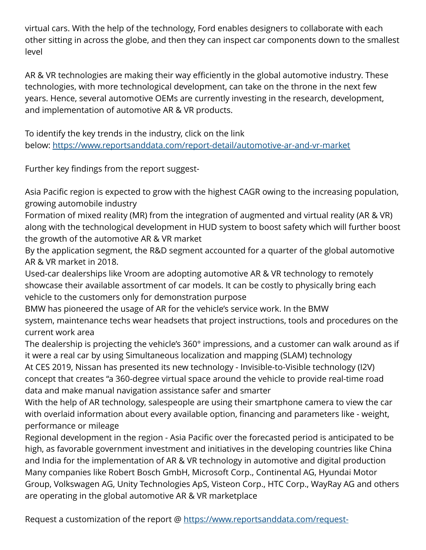virtual cars. With the help of the technology, Ford enables designers to collaborate with each other sitting in across the globe, and then they can inspect car components down to the smallest level

AR & VR technologies are making their way efficiently in the global automotive industry. These technologies, with more technological development, can take on the throne in the next few years. Hence, several automotive OEMs are currently investing in the research, development, and implementation of automotive AR & VR products.

To identify the key trends in the industry, click on the link below: <https://www.reportsanddata.com/report-detail/automotive-ar-and-vr-market>

Further key findings from the report suggest-

Asia Pacific region is expected to grow with the highest CAGR owing to the increasing population, growing automobile industry

Formation of mixed reality (MR) from the integration of augmented and virtual reality (AR & VR) along with the technological development in HUD system to boost safety which will further boost the growth of the automotive AR & VR market

By the application segment, the R&D segment accounted for a quarter of the global automotive AR & VR market in 2018.

Used-car dealerships like Vroom are adopting automotive AR & VR technology to remotely showcase their available assortment of car models. It can be costly to physically bring each vehicle to the customers only for demonstration purpose

BMW has pioneered the usage of AR for the vehicle's service work. In the BMW system, maintenance techs wear headsets that project instructions, tools and procedures on the current work area

The dealership is projecting the vehicle's 360° impressions, and a customer can walk around as if it were a real car by using Simultaneous localization and mapping (SLAM) technology

At CES 2019, Nissan has presented its new technology - Invisible-to-Visible technology (I2V) concept that creates "a 360-degree virtual space around the vehicle to provide real-time road data and make manual navigation assistance safer and smarter

With the help of AR technology, salespeople are using their smartphone camera to view the car with overlaid information about every available option, financing and parameters like - weight, performance or mileage

Regional development in the region - Asia Pacific over the forecasted period is anticipated to be high, as favorable government investment and initiatives in the developing countries like China and India for the implementation of AR & VR technology in automotive and digital production Many companies like Robert Bosch GmbH, Microsoft Corp., Continental AG, Hyundai Motor Group, Volkswagen AG, Unity Technologies ApS, Visteon Corp., HTC Corp., WayRay AG and others are operating in the global automotive AR & VR marketplace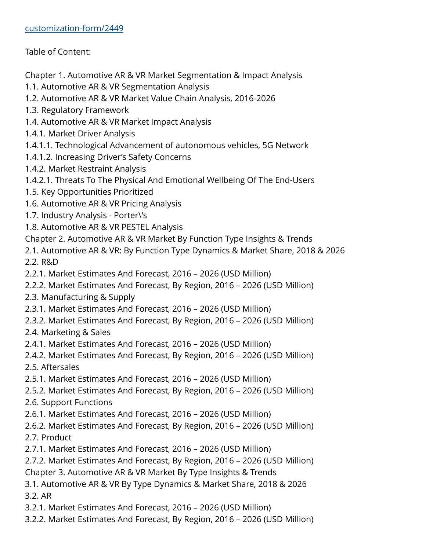Table of Content:

Chapter 1. Automotive AR & VR Market Segmentation & Impact Analysis

- 1.1. Automotive AR & VR Segmentation Analysis
- 1.2. Automotive AR & VR Market Value Chain Analysis, 2016-2026
- 1.3. Regulatory Framework
- 1.4. Automotive AR & VR Market Impact Analysis
- 1.4.1. Market Driver Analysis
- 1.4.1.1. Technological Advancement of autonomous vehicles, 5G Network
- 1.4.1.2. Increasing Driver's Safety Concerns
- 1.4.2. Market Restraint Analysis
- 1.4.2.1. Threats To The Physical And Emotional Wellbeing Of The End-Users
- 1.5. Key Opportunities Prioritized
- 1.6. Automotive AR & VR Pricing Analysis
- 1.7. Industry Analysis Porter\'s
- 1.8. Automotive AR & VR PESTEL Analysis
- Chapter 2. Automotive AR & VR Market By Function Type Insights & Trends
- 2.1. Automotive AR & VR: By Function Type Dynamics & Market Share, 2018 & 2026 2.2. R&D
- 2.2.1. Market Estimates And Forecast, 2016 2026 (USD Million)
- 2.2.2. Market Estimates And Forecast, By Region, 2016 2026 (USD Million)
- 2.3. Manufacturing & Supply
- 2.3.1. Market Estimates And Forecast, 2016 2026 (USD Million)
- 2.3.2. Market Estimates And Forecast, By Region, 2016 2026 (USD Million)
- 2.4. Marketing & Sales
- 2.4.1. Market Estimates And Forecast, 2016 2026 (USD Million)
- 2.4.2. Market Estimates And Forecast, By Region, 2016 2026 (USD Million)
- 2.5. Aftersales
- 2.5.1. Market Estimates And Forecast, 2016 2026 (USD Million)
- 2.5.2. Market Estimates And Forecast, By Region, 2016 2026 (USD Million)
- 2.6. Support Functions
- 2.6.1. Market Estimates And Forecast, 2016 2026 (USD Million)
- 2.6.2. Market Estimates And Forecast, By Region, 2016 2026 (USD Million) 2.7. Product
- 2.7.1. Market Estimates And Forecast, 2016 2026 (USD Million)
- 2.7.2. Market Estimates And Forecast, By Region, 2016 2026 (USD Million)
- Chapter 3. Automotive AR & VR Market By Type Insights & Trends
- 3.1. Automotive AR & VR By Type Dynamics & Market Share, 2018 & 2026 3.2. AR
- 3.2.1. Market Estimates And Forecast, 2016 2026 (USD Million)
- 3.2.2. Market Estimates And Forecast, By Region, 2016 2026 (USD Million)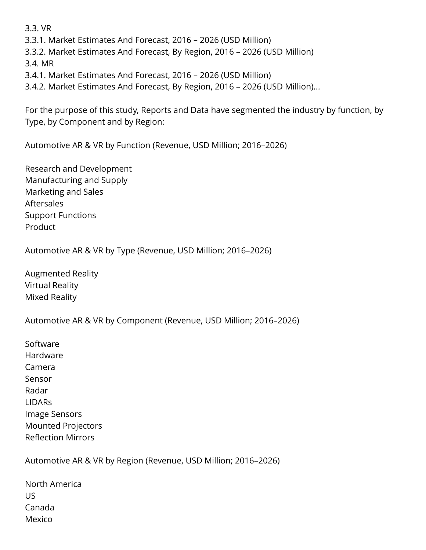3.3. VR

3.3.1. Market Estimates And Forecast, 2016 – 2026 (USD Million)

3.3.2. Market Estimates And Forecast, By Region, 2016 – 2026 (USD Million)

3.4. MR

3.4.1. Market Estimates And Forecast, 2016 – 2026 (USD Million)

3.4.2. Market Estimates And Forecast, By Region, 2016 – 2026 (USD Million)...

For the purpose of this study, Reports and Data have segmented the industry by function, by Type, by Component and by Region:

Automotive AR & VR by Function (Revenue, USD Million; 2016–2026)

Research and Development Manufacturing and Supply Marketing and Sales Aftersales Support Functions Product

Automotive AR & VR by Type (Revenue, USD Million; 2016–2026)

Augmented Reality Virtual Reality Mixed Reality

Automotive AR & VR by Component (Revenue, USD Million; 2016–2026)

Software Hardware Camera Sensor Radar LIDARs Image Sensors Mounted Projectors Reflection Mirrors

Automotive AR & VR by Region (Revenue, USD Million; 2016–2026)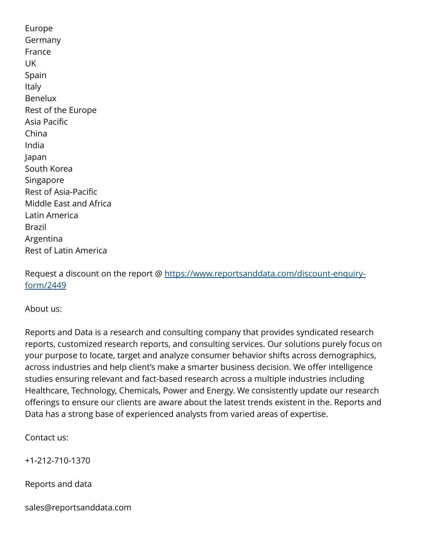Europe Germany France UK Spain Italy Benelux Rest of the Europe Asia Pacific China India Japan South Korea Singapore Rest of Asia-Pacific Middle East and Africa Latin America Brazil Argentina Rest of Latin America

Request a discount on the report @ [https://www.reportsanddata.com/discount-enquiry](https://www.reportsanddata.com/discount-enquiry-form/2449)[form/2449](https://www.reportsanddata.com/discount-enquiry-form/2449)

About us:

Reports and Data is a research and consulting company that provides syndicated research reports, customized research reports, and consulting services. Our solutions purely focus on your purpose to locate, target and analyze consumer behavior shifts across demographics, across industries and help client's make a smarter business decision. We offer intelligence studies ensuring relevant and fact-based research across a multiple industries including Healthcare, Technology, Chemicals, Power and Energy. We consistently update our research offerings to ensure our clients are aware about the latest trends existent in the. Reports and Data has a strong base of experienced analysts from varied areas of expertise.

Contact us:

+1-212-710-1370

Reports and data

sales@reportsanddata.com